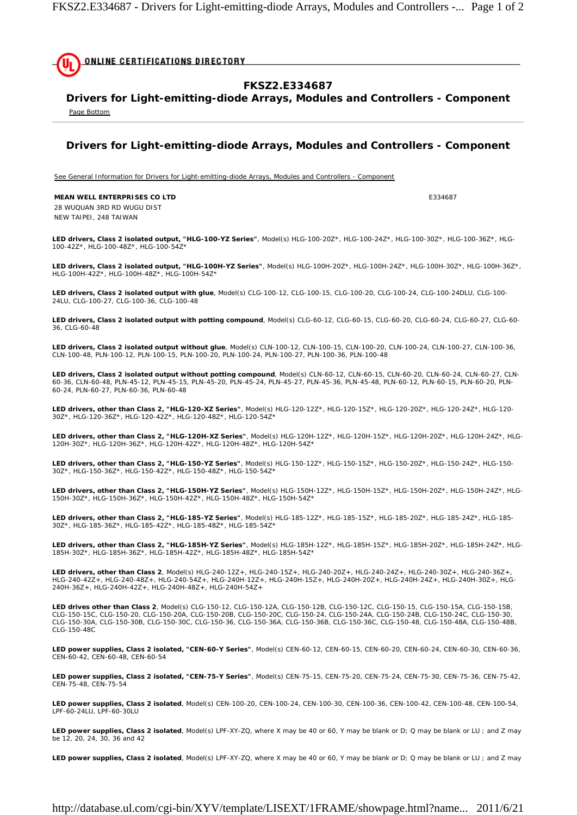

## **FKSZ2.E334687**

**Drivers for Light-emitting-diode Arrays, Modules and Controllers - Component**  Page Bottom

**Drivers for Light-emitting-diode Arrays, Modules and Controllers - Component** 

See General Information for Drivers for Light-emitting-diode Arrays, Modules and Controllers - Component

**MEAN WELL ENTERPRISES CO LTD E334687** 

28 WUQUAN 3RD RD WUGU DIST NEW TAIPEI, 248 TAIWAN

**LED drivers, Class 2 isolated output, "HLG-100-YZ Series"**, Model(s) HLG-100-20Z\*, HLG-100-24Z\*, HLG-100-30Z\*, HLG-100-36Z\*, HLG-100-42Z\*, HLG-100-48Z\*, HLG-100-54Z\*

**LED drivers, Class 2 isolated output, "HLG-100H-YZ Series"**, Model(s) HLG-100H-20Z\*, HLG-100H-24Z\*, HLG-100H-30Z\*, HLG-100H-36Z\*, HLG-100H-42Z\*, HLG-100H-48Z\*, HLG-100H-54Z\*

**LED drivers, Class 2 isolated output with glue**, Model(s) CLG-100-12, CLG-100-15, CLG-100-20, CLG-100-24, CLG-100-24DLU, CLG-100- 24LU, CLG-100-27, CLG-100-36, CLG-100-48

**LED drivers, Class 2 isolated output with potting compound**, Model(s) CLG-60-12, CLG-60-15, CLG-60-20, CLG-60-24, CLG-60-27, CLG-60- 36, CLG-60-48

**LED drivers, Class 2 isolated output without glue**, Model(s) CLN-100-12, CLN-100-15, CLN-100-20, CLN-100-24, CLN-100-27, CLN-100-36, CLN-100-48, PLN-100-12, PLN-100-15, PLN-100-20, PLN-100-24, PLN-100-27, PLN-100-36, PLN-100-48

**LED drivers, Class 2 isolated output without potting compound**, Model(s) CLN-60-12, CLN-60-15, CLN-60-20, CLN-60-24, CLN-60-27, CLN-60-36, CLN-60-48, PLN-45-12, PLN-45-15, PLN-45-20, PLN-45-24, PLN-45-27, PLN-45-36, PLN-45-48, PLN-60-12, PLN-60-15, PLN-60-20, PLN-60-24, PLN-60-27, PLN-60-36, PLN-60-48

**LED drivers, other than Class 2, "HLG-120-XZ Series"**, Model(s) HLG-120-12Z\*, HLG-120-15Z\*, HLG-120-20Z\*, HLG-120-24Z\*, HLG-120- 30Z\*, HLG-120-36Z\*, HLG-120-42Z\*, HLG-120-48Z\*, HLG-120-54Z\*

**LED drivers, other than Class 2, "HLG-120H-XZ Series"**, Model(s) HLG-120H-12Z\*, HLG-120H-15Z\*, HLG-120H-20Z\*, HLG-120H-24Z\*, HLG-120H-30Z\*, HLG-120H-36Z\*, HLG-120H-42Z\*, HLG-120H-48Z\*, HLG-120H-54Z\*

**LED drivers, other than Class 2, "HLG-150-YZ Series"**, Model(s) HLG-150-12Z\*, HLG-150-15Z\*, HLG-150-20Z\*, HLG-150-24Z\*, HLG-150- 30Z\*, HLG-150-36Z\*, HLG-150-42Z\*, HLG-150-48Z\*, HLG-150-54Z\*

**LED drivers, other than Class 2, "HLG-150H-YZ Series"**, Model(s) HLG-150H-12Z\*, HLG-150H-15Z\*, HLG-150H-20Z\*, HLG-150H-24Z\*, HLG-150H-30Z\*, HLG-150H-36Z\*, HLG-150H-42Z\*, HLG-150H-48Z\*, HLG-150H-54Z\*

**LED drivers, other than Class 2, "HLG-185-YZ Series"**, Model(s) HLG-185-12Z\*, HLG-185-15Z\*, HLG-185-20Z\*, HLG-185-24Z\*, HLG-185-<br>30Z\*, HLG-185-36Z\*, HLG-185-42Z\*, HLG-185-48Z\*, HLG-185-54Z\*

**LED drivers, other than Class 2, "HLG-185H-YZ Series"**, Model(s) HLG-185H-12Z\*, HLG-185H-15Z\*, HLG-185H-20Z\*, HLG-185H-24Z\*, HLG-185H-30Z\*, HLG-185H-36Z\*, HLG-185H-42Z\*, HLG-185H-48Z\*, HLG-185H-54Z\*

**LED drivers, other than Class 2**, Model(s) HLG-240-12Z+, HLG-240-15Z+, HLG-240-20Z+, HLG-240-24Z+, HLG-240-30Z+, HLG-240-36Z+,<br>HLG-240-42Z+, HLG-240-48Z+, HLG-240-54Z+, HLG-240H-12Z+, HLG-240H-15Z+, HLG-240H-20Z+, HLG-240 240H-36Z+, HLG-240H-42Z+, HLG-240H-48Z+, HLG-240H-54Z+

**LED drives other than Class 2**, Model(s) CLG-150-12, CLG-150-12A, CLG-150-12B, CLG-150-12C, CLG-150-15, CLG-150-15A, CLG-150-15B,<br>CLG-150-15C, CLG-150-20, CLG-150-20A, CLG-150-20B, CLG-150-20C, CLG-150-24, CLG-150-24A, CL CLG-150-30A, CLG-150-30B, CLG-150-30C, CLG-150-36, CLG-150-36A, CLG-150-36B, CLG-150-36C, CLG-150-48, CLG-150-48A, CLG-150-48B, CLG-150-48C

**LED power supplies, Class 2 isolated, "CEN-60-Y Series"**, Model(s) CEN-60-12, CEN-60-15, CEN-60-20, CEN-60-24, CEN-60-30, CEN-60-36, CEN-60-42, CEN-60-48, CEN-60-54

**LED power supplies, Class 2 isolated, "CEN-75-Y Series"**, Model(s) CEN-75-15, CEN-75-20, CEN-75-24, CEN-75-30, CEN-75-36, CEN-75-42, CEN-75-48, CEN-75-54

**LED power supplies, Class 2 isolated**, Model(s) CEN-100-20, CEN-100-24, CEN-100-30, CEN-100-36, CEN-100-42, CEN-100-48, CEN-100-54, LPF-60-24LU, LPF-60-30LU

**LED power supplies, Class 2 isolated**, Model(s) LPF-XY-ZQ, where X may be 40 or 60, Y may be blank or D; Q may be blank or LU ; and Z may be 12, 20, 24, 30, 36 and 42

**LED power supplies, Class 2 isolated**, Model(s) LPF-XY-ZQ, where X may be 40 or 60, Y may be blank or D; Q may be blank or LU ; and Z may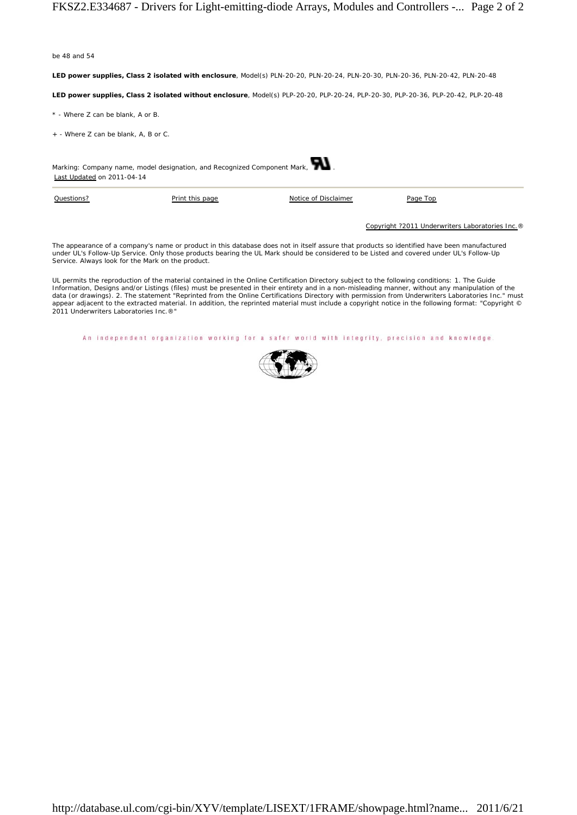be 48 and 54

**LED power supplies, Class 2 isolated with enclosure**, Model(s) PLN-20-20, PLN-20-24, PLN-20-30, PLN-20-36, PLN-20-42, PLN-20-48

**LED power supplies, Class 2 isolated without enclosure**, Model(s) PLP-20-20, PLP-20-24, PLP-20-30, PLP-20-36, PLP-20-42, PLP-20-48

\* - Where Z can be blank, A or B.

+ - Where Z can be blank, A, B or C.



| Questions? | Print this page | Notice of Disclaimer | Page Top                                         |
|------------|-----------------|----------------------|--------------------------------------------------|
|            |                 |                      |                                                  |
|            |                 |                      | Copyright ?2011 Underwriters Laboratories Inc. ® |

The appearance of a company's name or product in this database does not in itself assure that products so identified have been manufactured<br>under UL's Follow-Up Service. Only those products bearing the UL Mark should be co Service. Always look for the Mark on the product.

UL permits the reproduction of the material contained in the Online Certification Directory subject to the following conditions: 1. The Guide<br>Information, Designs and/or Listings (files) must be presented in their entirety data (or drawings). 2. The statement "Reprinted from the Online Certifications Directory with permission from Underwriters Laboratories Inc." must appear adjacent to the extracted material. In addition, the reprinted material must include a copyright notice in the following format: "Copyright © 2011 Underwriters Laboratories Inc.®"

An independent organization working for a safer world with integrity, precision and knowledge.

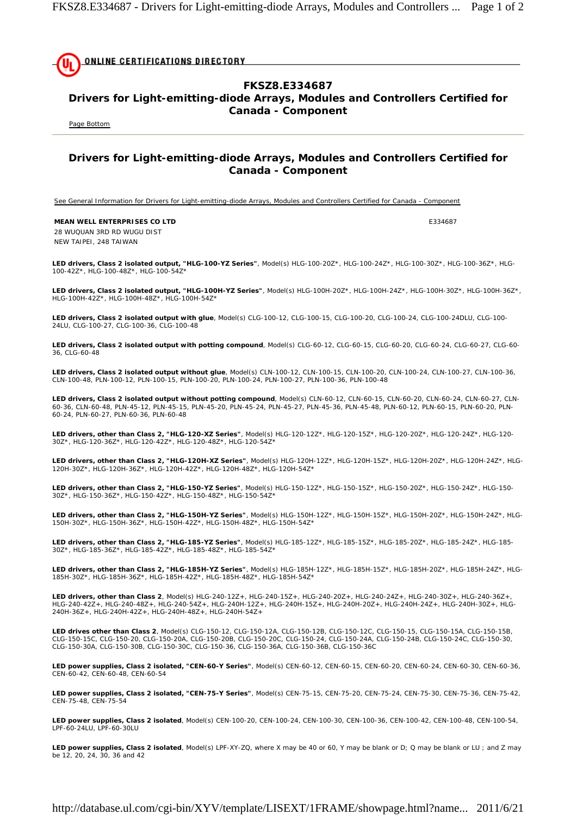**ONLINE CERTIFICATIONS DIRECTORY** 

## **FKSZ8.E334687**

## **Drivers for Light-emitting-diode Arrays, Modules and Controllers Certified for Canada - Component**

Page Bottom

## **Drivers for Light-emitting-diode Arrays, Modules and Controllers Certified for Canada - Component**

See General Information for Drivers for Light-emitting-diode Arrays, Modules and Controllers Certified for Canada - Component

**MEAN WELL ENTERPRISES CO LTD EXAMPLE 234687** 28 WUQUAN 3RD RD WUGU DIST

NEW TAIPEI, 248 TAIWAN

**LED drivers, Class 2 isolated output, "HLG-100-YZ Series"**, Model(s) HLG-100-20Z\*, HLG-100-24Z\*, HLG-100-30Z\*, HLG-100-36Z\*, HLG-100-42Z\*, HLG-100-48Z\*, HLG-100-54Z\*

**LED drivers, Class 2 isolated output, "HLG-100H-YZ Series"**, Model(s) HLG-100H-20Z\*, HLG-100H-24Z\*, HLG-100H-30Z\*, HLG-100H-36Z\*, HLG-100H-42Z\*, HLG-100H-48Z\*, HLG-100H-54Z\*

**LED drivers, Class 2 isolated output with glue**, Model(s) CLG-100-12, CLG-100-15, CLG-100-20, CLG-100-24, CLG-100-24DLU, CLG-100- 24LU, CLG-100-27, CLG-100-36, CLG-100-48

**LED drivers, Class 2 isolated output with potting compound**, Model(s) CLG-60-12, CLG-60-15, CLG-60-20, CLG-60-24, CLG-60-27, CLG-60- 36, CLG-60-48

**LED drivers, Class 2 isolated output without glue**, Model(s) CLN-100-12, CLN-100-15, CLN-100-20, CLN-100-24, CLN-100-27, CLN-100-36, CLN-100-48, PLN-100-12, PLN-100-15, PLN-100-20, PLN-100-24, PLN-100-27, PLN-100-36, PLN-100-48

**LED drivers, Class 2 isolated output without potting compound**, Model(s) CLN-60-12, CLN-60-15, CLN-60-20, CLN-60-24, CLN-60-27, CLN-60-36, CLN-60-48, PLN-45-12, PLN-45-15, PLN-45-20, PLN-45-24, PLN-45-27, PLN-45-36, PLN-45-48, PLN-60-12, PLN-60-15, PLN-60-20, PLN-60-24, PLN-60-27, PLN-60-36, PLN-60-48

**LED drivers, other than Class 2, "HLG-120-XZ Series"**, Model(s) HLG-120-12Z\*, HLG-120-15Z\*, HLG-120-20Z\*, HLG-120-24Z\*, HLG-120- 30Z\*, HLG-120-36Z\*, HLG-120-42Z\*, HLG-120-48Z\*, HLG-120-54Z\*

**LED drivers, other than Class 2, "HLG-120H-XZ Series"**, Model(s) HLG-120H-12Z\*, HLG-120H-15Z\*, HLG-120H-20Z\*, HLG-120H-24Z\*, HLG-120H-30Z\*, HLG-120H-36Z\*, HLG-120H-42Z\*, HLG-120H-48Z\*, HLG-120H-54Z\*

**LED drivers, other than Class 2, "HLG-150-YZ Series"**, Model(s) HLG-150-12Z\*, HLG-150-15Z\*, HLG-150-20Z\*, HLG-150-24Z\*, HLG-150- 30Z\*, HLG-150-36Z\*, HLG-150-42Z\*, HLG-150-48Z\*, HLG-150-54Z\*

**LED drivers, other than Class 2, "HLG-150H-YZ Series"**, Model(s) HLG-150H-12Z\*, HLG-150H-15Z\*, HLG-150H-20Z\*, HLG-150H-24Z\*, HLG-150H-30Z\*, HLG-150H-36Z\*, HLG-150H-42Z\*, HLG-150H-48Z\*, HLG-150H-54Z\*

**LED drivers, other than Class 2, "HLG-185-YZ Series"**, Model(s) HLG-185-12Z\*, HLG-185-15Z\*, HLG-185-20Z\*, HLG-185-24Z\*, HLG-185-<br>30Z\*, HLG-185-36Z\*, HLG-185-42Z\*, HLG-185-48Z\*, HLG-185-54Z\*

**LED drivers, other than Class 2, "HLG-185H-YZ Series"**, Model(s) HLG-185H-12Z\*, HLG-185H-15Z\*, HLG-185H-20Z\*, HLG-185H-24Z\*, HLG-185H-30Z\*, HLG-185H-36Z\*, HLG-185H-42Z\*, HLG-185H-48Z\*, HLG-185H-54Z\*

**LED drivers, other than Class 2**, Model(s) HLG-240-12Z+, HLG-240-15Z+, HLG-240-20Z+, HLG-240-24Z+, HLG-240-30Z+, HLG-240-36Z+, HLG-240-42Z+, HLG-240-48Z+, HLG-240-54Z+, HLG-240H-12Z+, HLG-240H-15Z+, HLG-240H-20Z+, HLG-240H-24Z+, HLG-240H-30Z+, HLG-240H-36Z+, HLG-240H-42Z+, HLG-240H-48Z+, HLG-240H-54Z+

**LED drives other than Class 2**, Model(s) CLG-150-12, CLG-150-12A, CLG-150-12B, CLG-150-12C, CLG-150-15, CLG-150-15A, CLG-150-15B, CLG-150-15C, CLG-150-20, CLG-150-20A, CLG-150-20B, CLG-150-20C, CLG-150-24, CLG-150-24A, CLG-150-24B, CLG-150-24C, CLG-150-30, CLG-150-30A, CLG-150-30B, CLG-150-30C, CLG-150-36, CLG-150-36A, CLG-150-36B, CLG-150-36C

**LED power supplies, Class 2 isolated, "CEN-60-Y Series"**, Model(s) CEN-60-12, CEN-60-15, CEN-60-20, CEN-60-24, CEN-60-30, CEN-60-36, CEN-60-42, CEN-60-48, CEN-60-54

**LED power supplies, Class 2 isolated, "CEN-75-Y Series"**, Model(s) CEN-75-15, CEN-75-20, CEN-75-24, CEN-75-30, CEN-75-36, CEN-75-42, CEN-75-48, CEN-75-54

**LED power supplies, Class 2 isolated**, Model(s) CEN-100-20, CEN-100-24, CEN-100-30, CEN-100-36, CEN-100-42, CEN-100-48, CEN-100-54, LPF-60-24LU, LPF-60-30LU

**LED power supplies, Class 2 isolated**, Model(s) LPF-XY-ZQ, where X may be 40 or 60, Y may be blank or D; Q may be blank or LU ; and Z may be 12, 20, 24, 30, 36 and 42